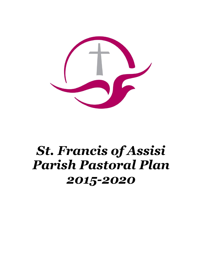

# *St. Francis of Assisi Parish Pastoral Plan 2015-2020*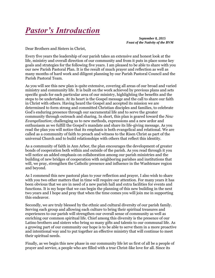

*September 8, 2015 Feast of the Nativity of the BVM* 

Dear Brothers and Sisters in Christ,

Every five years the leadership of our parish takes an extensive and honest look at the life, ministry and overall direction of our community and from it puts in place some key goals and strategies for the following five years. I am pleased to be able to share with you our new Parish Pastoral Plan. It is the result of much prayer and reflection as well as many months of hard work and diligent planning by our Parish Pastoral Council and the Parish Pastoral Team.

As you will see this new plan is quite extensive, covering all areas of our broad and varied ministry and community life. It is built on the work achieved by previous plans and sets specific goals for each particular area of our ministry, highlighting the benefits and the steps to be undertaken. At its heart is the Gospel message and the call to share our faith in Christ with others. Having heard the Gospel and accepted its mission we are determined to form strong and committed Christian disciples and families, to celebrate God's enduring presence through our sacramental life and to serve the greater community through outreach and sharing. In short, this plan is geared toward the *New Evangelization*; challenging us to new methods, expressions and a new ardor and enthusiasm as we fulfill the Gospel's mandate and share its life-giving message. As you read the plan you will notice that its emphasis is both evangelical and relational. We are called as a community of faith to preach and witness to the Risen Christ as part of the universal Church and to build relationships with others that reflect this identity.

As a community of faith in Ann Arbor, the plan encourages the development of greater bonds of cooperation both within and outside of the parish. As you read through it you will notice an added emphasis on collaboration among our parish ministries and the building of new bridges of cooperation with neighboring parishes and institutions that will, we pray, strengthen the Catholic presence and influence in the Washtenaw region and beyond.

As I commend this new pastoral plan to your reflection and prayer, I also wish to share with you two other matters that in time will require our attention. For many years it has been obvious that we are in need of a new parish hall and extra facilities for events and functions. It is my hope that we can begin the planning of this new building in the next two years and I hope and pray that when the time comes you will join me in supporting this endeavor.

Secondly, we are truly blessed by the ethnic and cultural diversity of our parish family. Serving each group and allowing each culture to bring their spiritual treasures and experiences to our parish will strengthen our overall sense of community as well as enriching our common spiritual life. Chief among this diversity is the presence of our Latino brothers and sisters who bring so many gifts and talents to our communal life. As a growing part of our community our hope is to be able to serve them in a more proactive and intentional way and to put together an effective ministry that will continue to meet their spiritual needs.

Finally, as we begin this new phase in our community life let us first of all be a people of prayer and service, a people who are filled with a true Christ-like love for all. Since its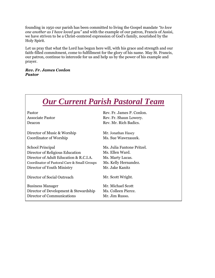founding in 1950 our parish has been committed to living the Gospel mandate *"to love one another as I have loved you"* and with the example of our patron, Francis of Assisi, we have striven to be a Christ-centered expression of God's family, nourished by the Holy Spirit.

Let us pray that what the Lord has begun here will, with his grace and strength and our faith-filled commitment, come to fulfillment for the glory of his name. May St. Francis, our patron, continue to intercede for us and help us by the power of his example and prayer.

*Rev. Fr. James Conlon Pastor* 

| <b>Our Current Parish Pastoral Team</b>     |                            |
|---------------------------------------------|----------------------------|
| Pastor                                      | Rev. Fr. James P. Conlon.  |
| <b>Associate Pastor</b>                     | Rev. Fr. Shaun Lowery.     |
| Deacon                                      | Rev. Mr. Rich Badics.      |
| Director of Music & Worship                 | Mr. Jonathan Hasey         |
| Coordinator of Worship                      | Ms. Sue Wawrzaszek.        |
| School Principal                            | Ms. Julia Fantone Pritzel. |
| Director of Religious Education             | Ms. Ellen Ward.            |
| Director of Adult Education & R.C.I.A.      | Ms. Marty Lucas.           |
| Coordinator of Pastoral Care & Small Groups | Ms. Kelly Hernandez.       |
| Director of Youth Ministry                  | Mr. Jake Kanitz            |
| Director of Social Outreach                 | Mr. Scott Wright.          |
| <b>Business Manager</b>                     | Mr. Michael Scott          |
| Director of Development & Stewardship       | Ms. Colleen Pierce.        |
| Director of Communications                  | Mr. Jim Russo.             |
|                                             |                            |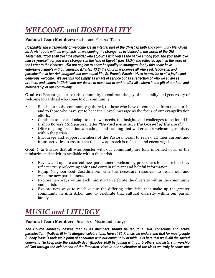# *WELCOME and HOSPITALITY*

**Pastoral Team Members:** Pastor and Pastoral Team

*Hospitality and a generosity of welcome are an integral part of the Christian faith and community life. Given its Jewish roots with its emphasis on welcoming the stranger as evidenced in the words of the Old Testament: "You shall treat the stranger who sojourns with you as the native among you, and you shall love him as yourself, for you were strangers in the land of Egypt," (Lev 19:34) and reflected again in the word of the Letter to the Hebrews: "Do not neglect to show hospitality to strangers, for by this some have entertained angels without knowing it," (Heb 13:2) the Church welcomes all who seek fellowship and participation in her rich liturgical and communal life. St. Francis Parish strives to provide to all a joyful and generous welcome. We see this not simply as an act of service but as a reflection of who we all are as brothers and sisters in Christ and our desire to reach out to and to offer all a share in the gift of our faith and membership of our community.*

**Goal #1:** Encourage our parish community to embrace the joy of hospitality and generosity of welcome towards all who come to our community.

- Reach out to the community gathered, to those who have disconnected from the church, and to those who have yet to hear the Gospel message as the focus of our evangelization efforts.
	- Continue to use and adapt to our own needs, the insights and challenges to be found in Bishop Boyea's 2012 pastoral letter *"Go and announce the Gospel of the Lord."*
	- Offer ongoing formation workshops and training that will create a welcoming ministry within the parish.
	- Encourage and support members of the Pastoral Team to review all their current and future activities to ensure that this new approach is reflected and encouraged.

**Goal # 2:** Ensure that all who register with our community are fully informed of all of the ministries and activities available within the parish.

- Review and update current new parishioners' welcoming procedures to ensure that they reflect a truly welcoming spirit and contain relevant and helpful information.
- Equip Neighborhood Coordinators with the necessary resources to reach out and welcome new parishioners.
- Explore new ways within each ministry to celebrate the diversity within the community and parish.
- Explore new ways to reach out to the differing ethnicities that make up the greater community in Ann Arbor and to celebrate that cultural diversity within our parish family.

### *MUSIC and LITURGY*

**Pastoral Team Member:** Director of Music and Liturgy

*The Church earnestly desires that all its members should be led to a "full, conscious and active participation" (Vatican II) in its liturgical celebrations. Here at St. Francis we understand that for most people Sunday Mass is their main point of encounter with our community of faith. It is here that we fulfill the sacred command "to keep holy the sabbath day" (Exodus 20:8) by joining with our brothers and sisters in worship of God through the celebration of the Eucharist. Here in our celebration of the Mass we truly become one*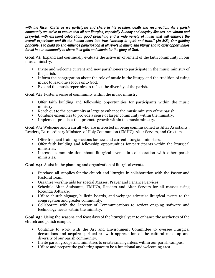*with the Risen Christ as we participate and share in his passion, death and resurrection. As a parish community we strive to ensure that all our liturgies, especially Sunday and holyday Masses, are vibrant and prayerful, with excellent celebration, good preaching and a wide variety of music that will enhance the overall experience and lift the human heart into true "worship in spirit and truth." (Jn 4:23) Our guiding principle is to build up and enhance participation at all levels in music and liturgy and to offer opportunities for all in our community to share their gifts and talents for the glory of God.* 

**Goal #1:** Expand and continually evaluate the active involvement of the faith community in our music ministry.

- Invite and welcome current and new parishioners to participate in the music ministry of the parish.
- Inform the congregation about the role of music in the liturgy and the tradition of using music to lead one's focus onto God.
- Expand the music repertoire to reflect the diversity of the parish.

**Goal #2:** Foster a sense of community within the music ministry.

- Offer faith building and fellowship opportunities for participants within the music ministry.
- Reach out to the community at large to enhance the music ministry of the parish.
- Combine ensembles to provide a sense of larger community within the ministry.
- Implement practices that promote growth within the music ministry.

Goal #3: Welcome and train all who are interested in being commissioned as Altar Assistants, Readers, Extraordinary Ministers of Holy Communion (EMHC), Altar Servers, and Greeters.

- Offer frequent training sessions for new and current liturgical ministers.
- Offer faith building and fellowship opportunities for participants within the liturgical ministries.
- Increase communication about liturgical events in collaboration with other parish ministries.

**Goal #4:** Assist in the planning and organization of liturgical events.

- Purchase all supplies for the church and liturgies in collaboration with the Pastor and Pastoral Team.
- Organize worship aids for special Masses, Prayer and Penance Services.
- Schedule Altar Assistants, EMHCs, Readers and Altar Servers for all masses using Rotunda Software.
- Utilize church signage, bulletin boards, and webpage advertise liturgical events to the congregation and greater community.
- Collaborate with the Director of Communications to review ongoing software and technology needs within the ministry.

**Goal #5:** Using the seasons and feast days of the liturgical year to enhance the aesthetics of the church and parish campus.

- Continue to work with the Art and Environment Committee to oversee liturgical decorations and acquire spiritual art with appreciation of the cultural make-up and diversity of our parish community.
- Invite parish groups and ministries to create small gardens within our parish campus.
- Utilize and prepare the gathering space to be a functional and welcoming area.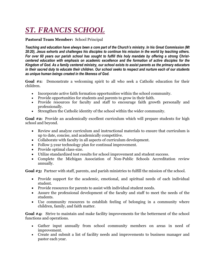# *ST. FRANCIS SCHOOL*

#### **Pastoral Team Member:** School Principal

*Teaching and education have always been a core part of the Church's ministry. In his Great Commission (Mt 28:20), Jesus exhorts and challenges his disciples to continue his mission in the world by teaching others. For over 60 years our parish school has sought to fulfill this holy mandate by offering a strong Christcentered education with emphasis on academic excellence and the formation of active disciples for the Kingdom of God. As a family centered ministry, our school exists to assist parents as the primary educators in their sacred duty to educate their children. Our school seeks to respect and nurture each of our students as unique human beings created in the likeness of God.*

**Goal #1:** Demonstrate a welcoming spirit to all who seek a Catholic education for their children.

- Incorporate active faith formation opportunities within the school community.
- Provide opportunities for students and parents to grow in their faith.
- Provide resources for faculty and staff to encourage faith growth personally and professionally.
- Strengthen the Catholic identity of the school within the wider community.

**Goal #2:** Provide an academically excellent curriculum which will prepare students for high school and beyond.

- Review and analyze curriculum and instructional materials to ensure that curriculum is up to date, concise, and academically competitive.
- Collaborate with faculty in all aspects of curriculum development.
- Follow 5-year technology plan for continual improvement.
- Provide optimal class-size.
- Utilize standardized test results for school improvement and student success.
- Complete the Michigan Association of Non-Public Schools Accreditation review annually.

**Goal #3:** Partner with staff, parents, and parish ministries to fulfill the mission of the school.

- Provide support for the academic, emotional, and spiritual needs of each individual student.
- Provide resources for parents to assist with individual student needs.
- Assure the professional development of the faculty and staff to meet the needs of the students.
- Use community resources to establish feeling of belonging in a community where children, family, and faith matter.

**Goal #4:** Strive to maintain and make facility improvements for the betterment of the school functions and operations.

- Gather input annually from school community members on areas in need of improvement.
- Create and submit a list of facility needs and improvements to business manager and pastor each year.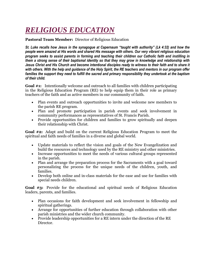# *RELIGIOUS EDUCATION*

**Pastoral Team Member:** Director of Religious Education

*St. Luke recalls how Jesus in the synagogue at Capernaum "taught with authority" (Lk 4:32) and how the people were amazed at His words and shared His message with others. Our very vibrant religious education program seeks to assist parents in forming and teaching their children our Catholic faith and instilling in them a strong sense of their baptismal identity so that they may grow in knowledge and relationship with Jesus Christ and His Church and become intentional disciples ready to witness to their faith and to share it with others. With the help and guidance of the Holy Spirit, the RE teachers and mentors in our program offer families the support they need to fulfill the sacred and primary responsibility they undertook at the baptism of their child.* 

**Goal #1:** Intentionally welcome and outreach to all families with children participating in the Religious Education Program (RE) to help equip them in their role as primary teachers of the faith and as active members in our community of faith.

- Plan events and outreach opportunities to invite and welcome new members to the parish RE program.
- Plan and promote participation in parish events and seek involvement in community performances as representatives of St. Francis Parish.
- Provide opportunities for children and families to grow spiritually and deepen their relationship with Christ.

**Goal #2:** Adapt and build on the current Religious Education Program to meet the spiritual and faith needs of families in a diverse and global world.

- Update materials to reflect the vision and goals of the New Evangelization and build the resources and technology used by the RE ministry and other ministries.
- Increase opportunities to meet the needs of various cultural groups represented in the parish.
- Plan and arrange the preparation process for the Sacraments with a goal toward personalizing the process for the unique needs of the children, youth, and families.
- Develop both online and in-class materials for the ease and use for families with special needs children.

**Goal #3:** Provide for the educational and spiritual needs of Religious Education leaders, parents, and families.

- Plan occasions for faith development and seek involvement in fellowship and spiritual gatherings.
- Arrange for opportunities of further education through collaboration with other parish ministries and the wider church community.
- Provide leadership opportunities for a RE intern under the direction of the RE Director.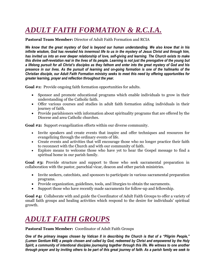# *ADULT FAITH FORMATION & R.C.I.A.*

#### **Pastoral Team Member:** Director of Adult Faith Formation and RCIA

*We know that the great mystery of God is beyond our human understanding. We also know that in his infinite wisdom, God has revealed his innermost life to us in the mystery of Jesus Christ and through him, has invited us into an ever deeper relationship of love, self-giving and learning. The Church exists to make this divine self-revelation real in the lives of its people. Learning is not just the prerogative of the young but a lifelong pursuit for all Christ's disciples as they fathom and enter into the great mystery of God and his presence in our lives. As the pursuit of learning and on-going formation is one of the hallmarks of the Christian disciple, our Adult Faith Formation ministry seeks to meet this need by offering opportunities for greater learning, prayer and reflection throughout the year.* 

Goal #1: Provide ongoing faith formation opportunities for adults.

- Sponsor and promote educational programs which enable individuals to grow in their understanding of the Catholic faith.
- Offer various courses and studies in adult faith formation aiding individuals in their journey of faith.
- Provide parishioners with information about spirituality programs that are offered by the Diocese and area Catholic churches.

**Goal #2:** Support evangelization efforts within our diverse community.

- Invite speakers and create events that inspire and offer techniques and resources for evangelizing through the ordinary events of life.
- Create events and activities that will encourage those who no longer practice their faith to reconnect with the Church and with our community of faith.
- Explore means to welcome those who have yet to hear the Gospel message to find a spiritual home in our parish family.

**Goal #3:** Provide structure and support to those who seek sacramental preparation in collaboration with the pastor, parochial vicar, deacon and other parish ministries.

- Invite seekers, catechists, and sponsors to participate in various sacramental preparation programs.
- Provide organization, guidelines, tools, and liturgies to obtain the sacraments.
- Support those who have recently made sacraments for follow-up and fellowship.

**Goal #4:** Collaborate with and guide the Coordinator of Adult Faith Groups to offer a variety of small faith groups and healing activities which respond to the desire for individuals' spiritual growth.

### *ADULT FAITH GROUPS*

**Pastoral Team Member:** Coordinator of Adult Faith Groups

*One of the primary images chosen by Vatican II in describing the Church is that of a "Pilgrim People," (Lumen Gentium #48) a people chosen and called by God, redeemed by Christ and empowered by the Holy Spirit, a community of intentional disciples journeying together through this life. We witness to one another through prayer and by inviting others to be part of this great journey of faith. As a parish family we seek to*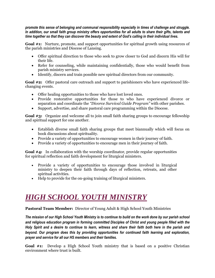*promote this sense of belonging and communal responsibility especially in times of challenge and struggle. In addition, our small faith group ministry offers opportunities for all adults to share their gifts, talents and time together so that they can discover the beauty and extent of God's calling in their individual lives.* 

Goal #1: Nurture, promote, and support opportunities for spiritual growth using resources of the parish ministries and Diocese of Lansing.

- Offer spiritual direction to those who seek to grow closer to God and discern His will for their life.
- Refer for counseling, while maintaining confidentially, those who would benefit from parish ministry services.
- Identify, discern and train possible new spiritual directors from our community.

Goal #2: Offer pastoral care outreach and support to parishioners who have experienced lifechanging events.

- Offer healing opportunities to those who have lost loved ones.
- Provide restorative opportunities for those to who have experienced divorce or separation and coordinate the *"Divorce Survival Guide Program"* with other parishes.
- Support, advertise, and share pastoral care programming within the Diocese.

**Goal #3:** Organize and welcome all to join small faith sharing groups to encourage fellowship and spiritual support for one another.

- Establish diverse small faith sharing groups that meet biannually which will focus on book discussions about spirituality.
- Provide a variety of opportunities to encourage women in their journey of faith.
- Provide a variety of opportunities to encourage men in their journey of faith.

**Goal #4:** In collaboration with the worship coordinator, provide regular opportunities for spiritual reflection and faith development for liturgical ministers.

- Provide a variety of opportunities to encourage those involved in liturgical ministry to deepen their faith through days of reflection, retreats, and other spiritual activities.
- Help to provide for the on-going training of liturgical ministers.

#### *HIGH SCHOOL YOUTH MINISTRY*

**Pastoral Team Member:** Director of Young Adult & High School Youth Ministries

*The mission of our High School Youth Ministry is to continue to build on the work done by our parish school and religious education program in forming committed Disciples of Christ and young people filled with the Holy Spirit and a desire to continue to learn, witness and share their faith both here in the parish and beyond. Our program does this by providing opportunities for continued faith learning and exploration, prayer and service for all our HS members and their families.*

**Goal #1:** Develop a High School Youth ministry that is based on a positive Christian environment where trust is built.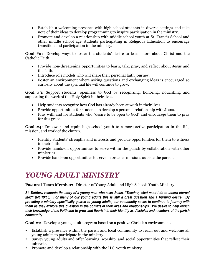- Establish a welcoming presence with high school students in diverse settings and take note of their ideas to develop programming to inspire participation in the ministry.
- Promote and develop a relationship with middle school youth at St. Francis School and other middle school age students participating in Religious Education to encourage transition and participation in the ministry.

**Goal #2:** Develop ways to foster the students' desire to learn more about Christ and the Catholic Faith.

- Provide non-threatening opportunities to learn, talk, pray, and reflect about Jesus and the faith.
- Introduce role models who will share their personal faith journey.
- Foster an environment where asking questions and exchanging ideas is encouraged so curiosity about the spiritual life will continue to grow.

**Goal #3:** Support students' openness to God by recognizing, honoring, nourishing and supporting the work of the Holy Spirit in their lives.

- Help students recognize how God has already been at work in their lives.
- Provide opportunities for students to develop a personal relationship with Jesus.
- Pray with and for students who "desire to be open to God" and encourage them to pray for this grace.

**Goal #4**: Empower and equip high school youth to a more active participation in the life, mission, and work of the church.

- Identify students' strengths and interests and provide opportunities for them to witness to their faith.
- Provide hands-on opportunities to serve within the parish by collaboration with other ministries.
- Provide hands-on opportunities to serve in broader missions outside the parish.

### *YOUNG ADULT MINISTRY*

**Pastoral Team Member:** Director of Young Adult and High Schools Youth Ministry

*St. Matthew recounts the story of a young man who asks Jesus, "Teacher, what must I do to inherit eternal life?" (Mt 19:16) For many of our young adults this is still a great question and a burning desire. By providing a ministry specifically geared to young adults, our community seeks to continue to journey with them as they explore this question in the context of their lives and relationships. We desire to help enrich their knowledge of the Faith and to grow and flourish in their identity as disciples and members of the parish community.* 

**Goal #1:** Develop a young adult program based on a positive Christian environment.

- Establish a presence within the parish and local community to reach out and welcome all young adults to participate in the ministry.
- Survey young adults and offer learning, worship, and social opportunities that reflect their interests.
- Promote and develop a relationship with the H.S. youth ministry.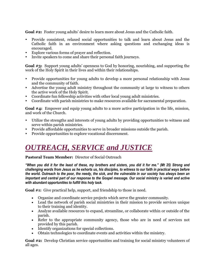Goal #2: Foster young adults' desire to learn more about Jesus and the Catholic faith.

- Provide consistent, relaxed social opportunities to talk and learn about Jesus and the Catholic faith in an environment where asking questions and exchanging ideas is encouraged.
- Explore various forms of prayer and reflection.
- Invite speakers to come and share their personal faith journeys.

**Goal #3:** Support young adults' openness to God by honoring, nourishing, and supporting the work of the Holy Spirit in their lives and within their relationships.

- Provide opportunities for young adults to develop a more personal relationship with Jesus and the community of faith.
- Advertise the young adult ministry throughout the community at large to witness to others the active work of the Holy Spirit.
- Coordinate fun fellowship activities with other local young adult ministries.
- Coordinate with parish ministries to make resources available for sacramental preparation.

**Goal #4:** Empower and equip young adults to a more active participation in the life, mission, and work of the Church.

- Utilize the strengths and interests of young adults by providing opportunities to witness and serve within parish ministries.
- Provide affordable opportunities to serve in broader missions outside the parish.
- Provide opportunities to explore vocational discernment.

#### *OUTREACH, SERVICE and JUSTICE*

#### **Pastoral Team Member:** Director of Social Outreach

*"When you did it for the least of these, my brothers and sisters, you did it for me." (Mt 25) Strong and challenging words from Jesus as he exhorts us, his disciples, to witness to our faith in practical ways before the world. Outreach to the poor, the needy, the sick, and the vulnerable in our society has always been an important and central part of our response to the Gospel message. Our social ministry is varied and active with abundant opportunities to fulfill this holy task.*

**Goal #1:** Give practical help, support, and friendship to those in need.

- Organize and coordinate service projects which serve the greater community.
- Lead the network of parish social ministries in their mission to provide services unique to their training and identity.
- Analyze available resources to expand, streamline, or collaborate within or outside of the parish.
- Refer to the appropriate community agency, those who are in need of services not provided by this parish.
- Identify organizations for special collections.
- Obtain technologies to coordinate events and activities within the ministry.

**Goal #2:** Develop Christian service opportunities and training for social ministry volunteers of all ages.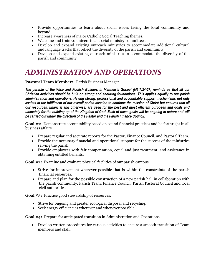- Provide opportunities to learn about social issues facing the local community and beyond.
- Increase awareness of major Catholic Social Teaching themes.
- Welcome and train volunteers to all social ministry committees.
- Develop and expand existing outreach ministries to accommodate additional cultural and language tracks that reflect the diversity of the parish and community.
- Develop and expand existing outreach ministries to accommodate the diversity of the parish and community.

### *ADMINISTRATION AND OPERATIONS*

**Pastoral Team Member:** Parish Business Manager

*The parable of the Wise and Foolish Builders in Matthew's Gospel (Mt 7:24-27) reminds us that all our Christian activities should be built on strong and enduring foundations. This applies equally to our parish administration and operations. Having strong, professional and accountable support mechanisms not only assists in the fulfillment of our overall parish mission to continue the mission of Christ but ensures that all our resources, financial and otherwise, are used for the best and most efficient purposes and goals and ultimately for the building up of the Kingdom of God. Each of these goals will be ongoing in nature and will be carried out under the direction of the Pastor and the Parish Finance Council.*

**Goal #1:** Demonstrate accountability based on sound financial practices and be forthright in all business affairs.

- Prepare regular and accurate reports for the Pastor, Finance Council, and Pastoral Team.
- Provide the necessary financial and operational support for the success of the ministries serving the parish.
- Provide employees with fair compensation, equal and just treatment, and assistance in obtaining entitled benefits.

**Goal #2:** Examine and evaluate physical facilities of our parish campus.

- Strive for improvement wherever possible that is within the constraints of the parish financial resources.
- Prepare and plan for the possible construction of a new parish hall in collaboration with the parish community, Parish Team, Finance Council, Parish Pastoral Council and local civil authorities.

**Goal #3:** Practice good stewardship of resources.

- Strive for ongoing and greater ecological disposal and recycling.
- Seek energy efficiencies wherever and whenever possible.

**Goal #4:** Prepare for anticipated transition in Administration and Operations.

 Develop written procedures for various activities to ensure a smooth transition of Team members and staff.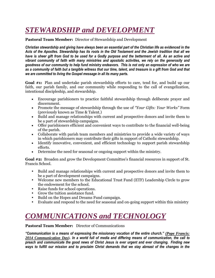### *STEWARDSHIP and DEVELOPMENT*

**Pastoral Team Member:** Director of Stewardship and Development

*Christian stewardship and giving have always been an essential part of the Christian life as evidenced in the Acts of the Apostles. Stewardship has its roots in the Old Testament and the Jewish tradition that all we have is sheer gift from God to be used for a Godly purpose and the betterment of all. As an active and vibrant community of faith with many ministries and apostolic activities, we rely on the generosity and goodness of our community to help fund ministry endeavors. This is not only an expression of who we are as a community of faith but a tangible witness that our time, talent, and treasure is a gift from God and that we are committed to living the Gospel message in all its many parts.* 

Goal #1: Plan and undertake parish stewardship efforts to care, tend for, and build up our faith, our parish family, and our community while responding to the call of evangelization, intentional discipleship, and stewardship.

- Encourage parishioners to practice faithful stewardship through deliberate prayer and discernment.
- Promote the message of stewardship through the use of *"Your Gifts: Your Works"* Form (previously known as Time & Talent.)
- Build and manage relationships with current and prospective donors and invite them to be a part of stewardship campaigns.
- Offer parishioners efficient and convenient ways to contribute to the financial well-being of the parish.
- Collaborate with parish team members and ministries to provide a wide variety of ways in which parishioners may contribute their gifts in support of Catholic stewardship.
- Identify innovative, convenient, and efficient technology to support parish stewardship efforts.
- Determine the need for seasonal or ongoing support within the ministry.

**Goal #2:** Broaden and grow the Development Committee's financial resources in support of St. Francis School.

- Build and manage relationships with current and prospective donors and invite them to be a part of development campaigns.
- Welcome new members to the Educational Trust Fund (ETF) Leadership Circle to grow the endowment for the school.
- Raise funds for school operations.
- Grow the tuition assistance fund.
- Build on the Hopes and Dreams Fund campaign.
- Evaluate and respond to the need for seasonal and on-going support within this ministry

#### *COMMUNICATIONS and TECHNOLOGY*

#### **Pastoral Team Member:** Director of Communications

*"Communication is a means of expressing the missionary vocation of the entire church." (Pope Francis: 2014 Communication Day). In a world full of media and differing means of communication, the call to preach and communicate the good news of Christ Jesus is ever urgent and ever changing. Finding new ways to fulfill our mission and to proclaim Christ demands that we stay abreast of the changes in the*